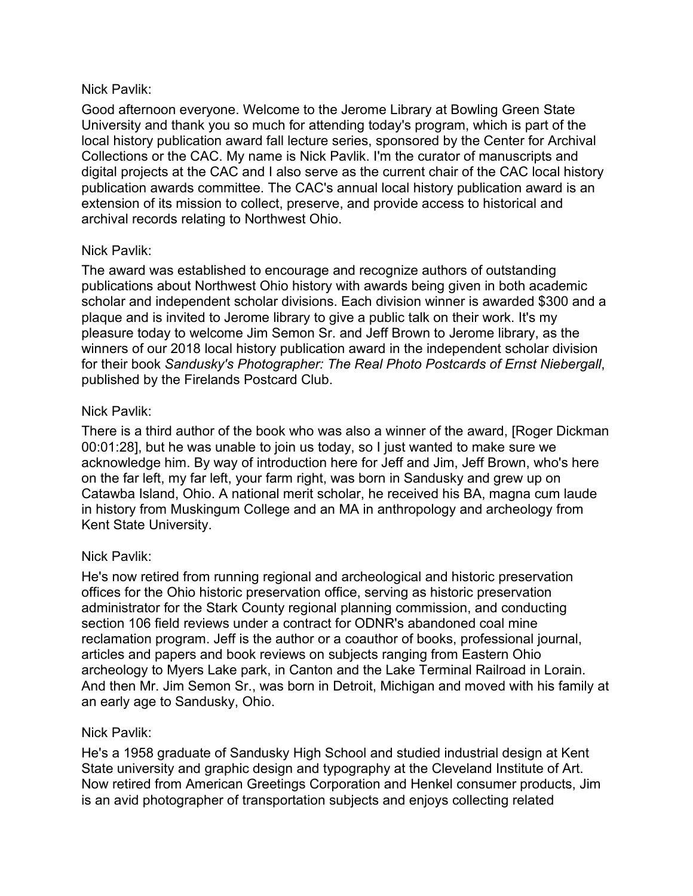## Nick Pavlik:

Good afternoon everyone. Welcome to the Jerome Library at Bowling Green State University and thank you so much for attending today's program, which is part of the local history publication award fall lecture series, sponsored by the Center for Archival Collections or the CAC. My name is Nick Pavlik. I'm the curator of manuscripts and digital projects at the CAC and I also serve as the current chair of the CAC local history publication awards committee. The CAC's annual local history publication award is an extension of its mission to collect, preserve, and provide access to historical and archival records relating to Northwest Ohio.

# Nick Pavlik:

The award was established to encourage and recognize authors of outstanding publications about Northwest Ohio history with awards being given in both academic scholar and independent scholar divisions. Each division winner is awarded \$300 and a plaque and is invited to Jerome library to give a public talk on their work. It's my pleasure today to welcome Jim Semon Sr. and Jeff Brown to Jerome library, as the winners of our 2018 local history publication award in the independent scholar division for their book *Sandusky's Photographer: The Real Photo Postcards of Ernst Niebergall*, published by the Firelands Postcard Club.

## Nick Pavlik:

There is a third author of the book who was also a winner of the award, [Roger Dickman 00:01:28], but he was unable to join us today, so I just wanted to make sure we acknowledge him. By way of introduction here for Jeff and Jim, Jeff Brown, who's here on the far left, my far left, your farm right, was born in Sandusky and grew up on Catawba Island, Ohio. A national merit scholar, he received his BA, magna cum laude in history from Muskingum College and an MA in anthropology and archeology from Kent State University.

# Nick Pavlik:

He's now retired from running regional and archeological and historic preservation offices for the Ohio historic preservation office, serving as historic preservation administrator for the Stark County regional planning commission, and conducting section 106 field reviews under a contract for ODNR's abandoned coal mine reclamation program. Jeff is the author or a coauthor of books, professional journal, articles and papers and book reviews on subjects ranging from Eastern Ohio archeology to Myers Lake park, in Canton and the Lake Terminal Railroad in Lorain. And then Mr. Jim Semon Sr., was born in Detroit, Michigan and moved with his family at an early age to Sandusky, Ohio.

## Nick Pavlik:

He's a 1958 graduate of Sandusky High School and studied industrial design at Kent State university and graphic design and typography at the Cleveland Institute of Art. Now retired from American Greetings Corporation and Henkel consumer products, Jim is an avid photographer of transportation subjects and enjoys collecting related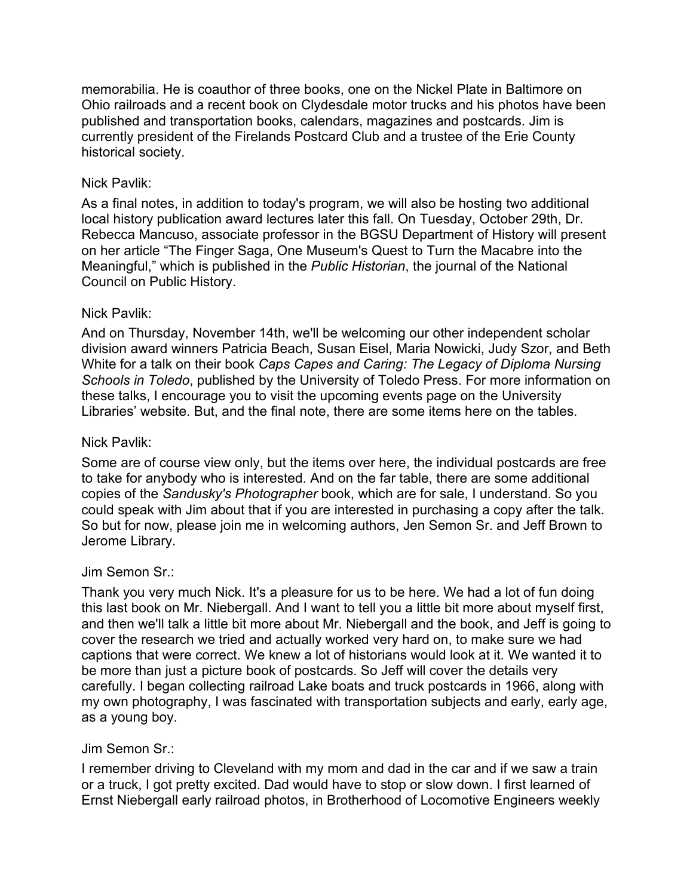memorabilia. He is coauthor of three books, one on the Nickel Plate in Baltimore on Ohio railroads and a recent book on Clydesdale motor trucks and his photos have been published and transportation books, calendars, magazines and postcards. Jim is currently president of the Firelands Postcard Club and a trustee of the Erie County historical society.

## Nick Pavlik:

As a final notes, in addition to today's program, we will also be hosting two additional local history publication award lectures later this fall. On Tuesday, October 29th, Dr. Rebecca Mancuso, associate professor in the BGSU Department of History will present on her article "The Finger Saga, One Museum's Quest to Turn the Macabre into the Meaningful," which is published in the *Public Historian*, the journal of the National Council on Public History.

## Nick Pavlik:

And on Thursday, November 14th, we'll be welcoming our other independent scholar division award winners Patricia Beach, Susan Eisel, Maria Nowicki, Judy Szor, and Beth White for a talk on their book *Caps Capes and Caring: The Legacy of Diploma Nursing Schools in Toledo*, published by the University of Toledo Press. For more information on these talks, I encourage you to visit the upcoming events page on the University Libraries' website. But, and the final note, there are some items here on the tables.

### Nick Pavlik:

Some are of course view only, but the items over here, the individual postcards are free to take for anybody who is interested. And on the far table, there are some additional copies of the *Sandusky's Photographer* book, which are for sale, I understand. So you could speak with Jim about that if you are interested in purchasing a copy after the talk. So but for now, please join me in welcoming authors, Jen Semon Sr. and Jeff Brown to Jerome Library.

#### Jim Semon Sr.:

Thank you very much Nick. It's a pleasure for us to be here. We had a lot of fun doing this last book on Mr. Niebergall. And I want to tell you a little bit more about myself first, and then we'll talk a little bit more about Mr. Niebergall and the book, and Jeff is going to cover the research we tried and actually worked very hard on, to make sure we had captions that were correct. We knew a lot of historians would look at it. We wanted it to be more than just a picture book of postcards. So Jeff will cover the details very carefully. I began collecting railroad Lake boats and truck postcards in 1966, along with my own photography, I was fascinated with transportation subjects and early, early age, as a young boy.

#### Jim Semon Sr.:

I remember driving to Cleveland with my mom and dad in the car and if we saw a train or a truck, I got pretty excited. Dad would have to stop or slow down. I first learned of Ernst Niebergall early railroad photos, in Brotherhood of Locomotive Engineers weekly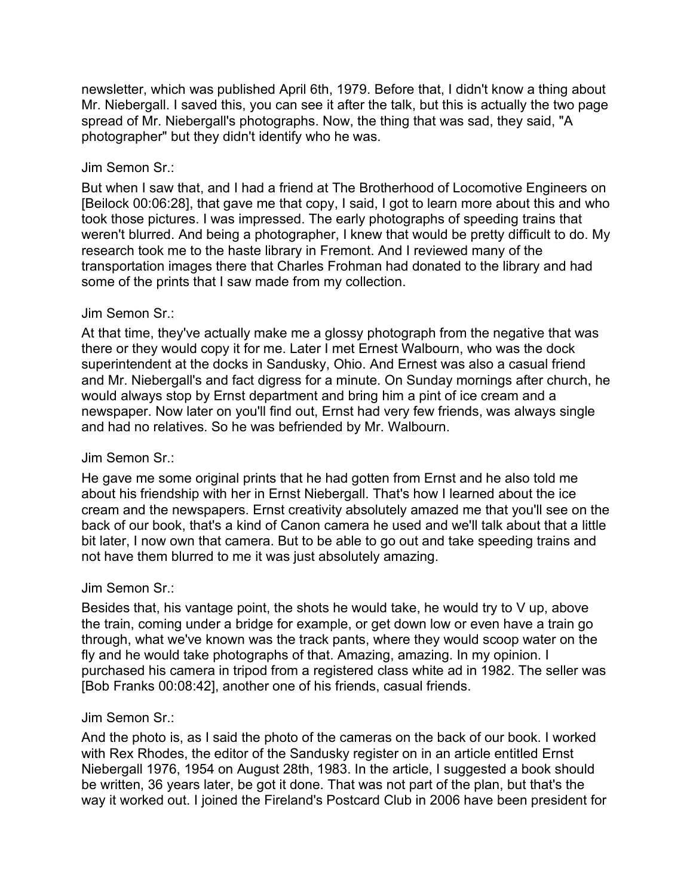newsletter, which was published April 6th, 1979. Before that, I didn't know a thing about Mr. Niebergall. I saved this, you can see it after the talk, but this is actually the two page spread of Mr. Niebergall's photographs. Now, the thing that was sad, they said, "A photographer" but they didn't identify who he was.

## Jim Semon Sr.:

But when I saw that, and I had a friend at The Brotherhood of Locomotive Engineers on [Beilock 00:06:28], that gave me that copy, I said, I got to learn more about this and who took those pictures. I was impressed. The early photographs of speeding trains that weren't blurred. And being a photographer, I knew that would be pretty difficult to do. My research took me to the haste library in Fremont. And I reviewed many of the transportation images there that Charles Frohman had donated to the library and had some of the prints that I saw made from my collection.

#### Jim Semon Sr.:

At that time, they've actually make me a glossy photograph from the negative that was there or they would copy it for me. Later I met Ernest Walbourn, who was the dock superintendent at the docks in Sandusky, Ohio. And Ernest was also a casual friend and Mr. Niebergall's and fact digress for a minute. On Sunday mornings after church, he would always stop by Ernst department and bring him a pint of ice cream and a newspaper. Now later on you'll find out, Ernst had very few friends, was always single and had no relatives. So he was befriended by Mr. Walbourn.

## Jim Semon Sr.:

He gave me some original prints that he had gotten from Ernst and he also told me about his friendship with her in Ernst Niebergall. That's how I learned about the ice cream and the newspapers. Ernst creativity absolutely amazed me that you'll see on the back of our book, that's a kind of Canon camera he used and we'll talk about that a little bit later, I now own that camera. But to be able to go out and take speeding trains and not have them blurred to me it was just absolutely amazing.

## Jim Semon Sr.:

Besides that, his vantage point, the shots he would take, he would try to V up, above the train, coming under a bridge for example, or get down low or even have a train go through, what we've known was the track pants, where they would scoop water on the fly and he would take photographs of that. Amazing, amazing. In my opinion. I purchased his camera in tripod from a registered class white ad in 1982. The seller was [Bob Franks 00:08:42], another one of his friends, casual friends.

#### Jim Semon Sr.:

And the photo is, as I said the photo of the cameras on the back of our book. I worked with Rex Rhodes, the editor of the Sandusky register on in an article entitled Ernst Niebergall 1976, 1954 on August 28th, 1983. In the article, I suggested a book should be written, 36 years later, be got it done. That was not part of the plan, but that's the way it worked out. I joined the Fireland's Postcard Club in 2006 have been president for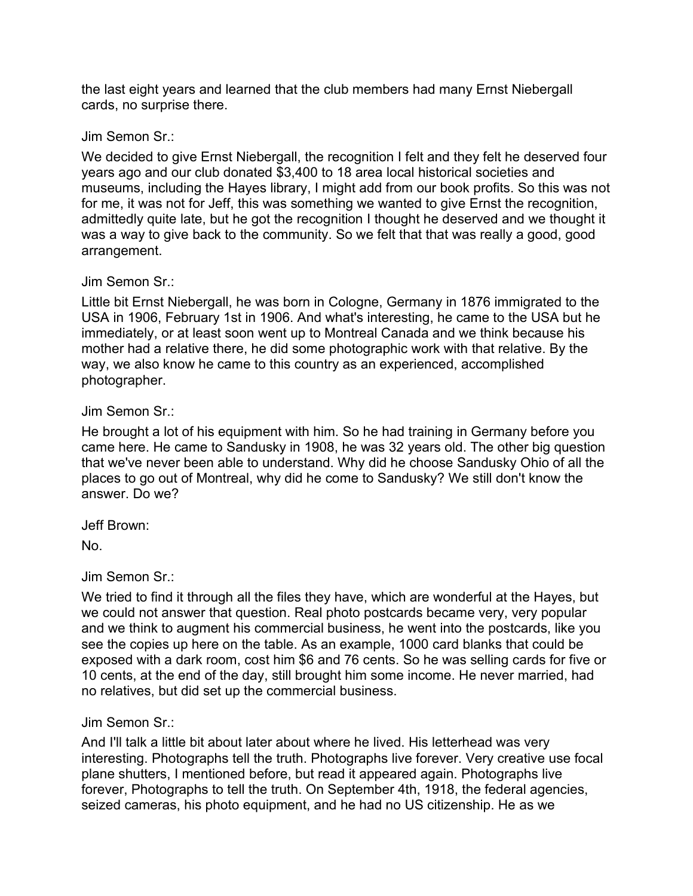the last eight years and learned that the club members had many Ernst Niebergall cards, no surprise there.

### Jim Semon Sr.:

We decided to give Ernst Niebergall, the recognition I felt and they felt he deserved four years ago and our club donated \$3,400 to 18 area local historical societies and museums, including the Hayes library, I might add from our book profits. So this was not for me, it was not for Jeff, this was something we wanted to give Ernst the recognition, admittedly quite late, but he got the recognition I thought he deserved and we thought it was a way to give back to the community. So we felt that that was really a good, good arrangement.

#### Jim Semon Sr.:

Little bit Ernst Niebergall, he was born in Cologne, Germany in 1876 immigrated to the USA in 1906, February 1st in 1906. And what's interesting, he came to the USA but he immediately, or at least soon went up to Montreal Canada and we think because his mother had a relative there, he did some photographic work with that relative. By the way, we also know he came to this country as an experienced, accomplished photographer.

## Jim Semon Sr.:

He brought a lot of his equipment with him. So he had training in Germany before you came here. He came to Sandusky in 1908, he was 32 years old. The other big question that we've never been able to understand. Why did he choose Sandusky Ohio of all the places to go out of Montreal, why did he come to Sandusky? We still don't know the answer. Do we?

Jeff Brown:

No.

## Jim Semon Sr.:

We tried to find it through all the files they have, which are wonderful at the Hayes, but we could not answer that question. Real photo postcards became very, very popular and we think to augment his commercial business, he went into the postcards, like you see the copies up here on the table. As an example, 1000 card blanks that could be exposed with a dark room, cost him \$6 and 76 cents. So he was selling cards for five or 10 cents, at the end of the day, still brought him some income. He never married, had no relatives, but did set up the commercial business.

## Jim Semon Sr.:

And I'll talk a little bit about later about where he lived. His letterhead was very interesting. Photographs tell the truth. Photographs live forever. Very creative use focal plane shutters, I mentioned before, but read it appeared again. Photographs live forever, Photographs to tell the truth. On September 4th, 1918, the federal agencies, seized cameras, his photo equipment, and he had no US citizenship. He as we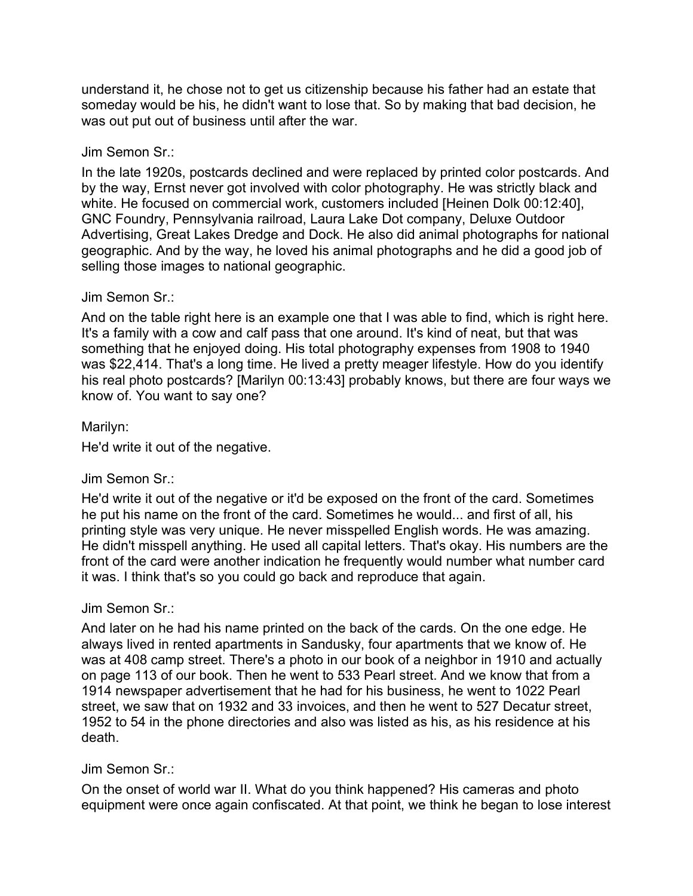understand it, he chose not to get us citizenship because his father had an estate that someday would be his, he didn't want to lose that. So by making that bad decision, he was out put out of business until after the war.

### Jim Semon Sr.:

In the late 1920s, postcards declined and were replaced by printed color postcards. And by the way, Ernst never got involved with color photography. He was strictly black and white. He focused on commercial work, customers included [Heinen Dolk 00:12:40], GNC Foundry, Pennsylvania railroad, Laura Lake Dot company, Deluxe Outdoor Advertising, Great Lakes Dredge and Dock. He also did animal photographs for national geographic. And by the way, he loved his animal photographs and he did a good job of selling those images to national geographic.

#### Jim Semon Sr.:

And on the table right here is an example one that I was able to find, which is right here. It's a family with a cow and calf pass that one around. It's kind of neat, but that was something that he enjoyed doing. His total photography expenses from 1908 to 1940 was \$22,414. That's a long time. He lived a pretty meager lifestyle. How do you identify his real photo postcards? [Marilyn 00:13:43] probably knows, but there are four ways we know of. You want to say one?

## Marilyn:

He'd write it out of the negative.

## Jim Semon Sr.:

He'd write it out of the negative or it'd be exposed on the front of the card. Sometimes he put his name on the front of the card. Sometimes he would... and first of all, his printing style was very unique. He never misspelled English words. He was amazing. He didn't misspell anything. He used all capital letters. That's okay. His numbers are the front of the card were another indication he frequently would number what number card it was. I think that's so you could go back and reproduce that again.

#### Jim Semon Sr.:

And later on he had his name printed on the back of the cards. On the one edge. He always lived in rented apartments in Sandusky, four apartments that we know of. He was at 408 camp street. There's a photo in our book of a neighbor in 1910 and actually on page 113 of our book. Then he went to 533 Pearl street. And we know that from a 1914 newspaper advertisement that he had for his business, he went to 1022 Pearl street, we saw that on 1932 and 33 invoices, and then he went to 527 Decatur street, 1952 to 54 in the phone directories and also was listed as his, as his residence at his death.

#### Jim Semon Sr.:

On the onset of world war II. What do you think happened? His cameras and photo equipment were once again confiscated. At that point, we think he began to lose interest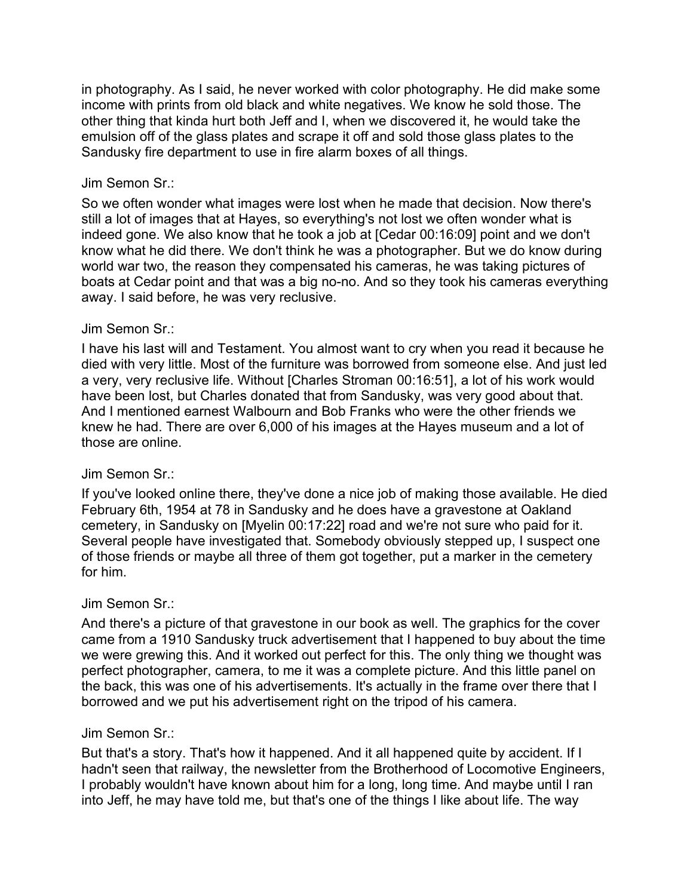in photography. As I said, he never worked with color photography. He did make some income with prints from old black and white negatives. We know he sold those. The other thing that kinda hurt both Jeff and I, when we discovered it, he would take the emulsion off of the glass plates and scrape it off and sold those glass plates to the Sandusky fire department to use in fire alarm boxes of all things.

### Jim Semon Sr.:

So we often wonder what images were lost when he made that decision. Now there's still a lot of images that at Hayes, so everything's not lost we often wonder what is indeed gone. We also know that he took a job at [Cedar 00:16:09] point and we don't know what he did there. We don't think he was a photographer. But we do know during world war two, the reason they compensated his cameras, he was taking pictures of boats at Cedar point and that was a big no-no. And so they took his cameras everything away. I said before, he was very reclusive.

## Jim Semon Sr.:

I have his last will and Testament. You almost want to cry when you read it because he died with very little. Most of the furniture was borrowed from someone else. And just led a very, very reclusive life. Without [Charles Stroman 00:16:51], a lot of his work would have been lost, but Charles donated that from Sandusky, was very good about that. And I mentioned earnest Walbourn and Bob Franks who were the other friends we knew he had. There are over 6,000 of his images at the Hayes museum and a lot of those are online.

## Jim Semon Sr.:

If you've looked online there, they've done a nice job of making those available. He died February 6th, 1954 at 78 in Sandusky and he does have a gravestone at Oakland cemetery, in Sandusky on [Myelin 00:17:22] road and we're not sure who paid for it. Several people have investigated that. Somebody obviously stepped up, I suspect one of those friends or maybe all three of them got together, put a marker in the cemetery for him.

## Jim Semon Sr.:

And there's a picture of that gravestone in our book as well. The graphics for the cover came from a 1910 Sandusky truck advertisement that I happened to buy about the time we were grewing this. And it worked out perfect for this. The only thing we thought was perfect photographer, camera, to me it was a complete picture. And this little panel on the back, this was one of his advertisements. It's actually in the frame over there that I borrowed and we put his advertisement right on the tripod of his camera.

#### Jim Semon Sr.:

But that's a story. That's how it happened. And it all happened quite by accident. If I hadn't seen that railway, the newsletter from the Brotherhood of Locomotive Engineers, I probably wouldn't have known about him for a long, long time. And maybe until I ran into Jeff, he may have told me, but that's one of the things I like about life. The way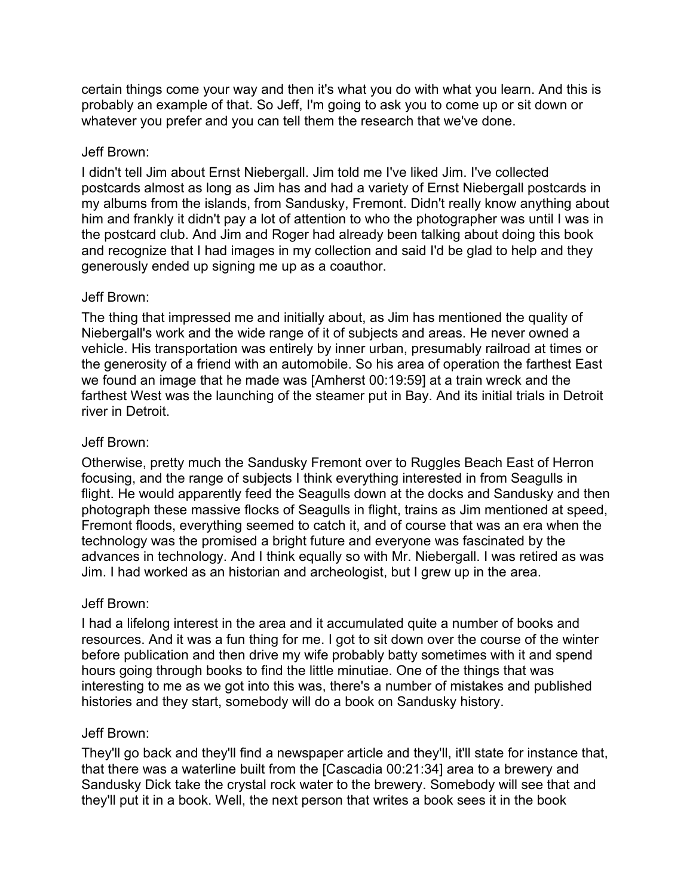certain things come your way and then it's what you do with what you learn. And this is probably an example of that. So Jeff, I'm going to ask you to come up or sit down or whatever you prefer and you can tell them the research that we've done.

## Jeff Brown:

I didn't tell Jim about Ernst Niebergall. Jim told me I've liked Jim. I've collected postcards almost as long as Jim has and had a variety of Ernst Niebergall postcards in my albums from the islands, from Sandusky, Fremont. Didn't really know anything about him and frankly it didn't pay a lot of attention to who the photographer was until I was in the postcard club. And Jim and Roger had already been talking about doing this book and recognize that I had images in my collection and said I'd be glad to help and they generously ended up signing me up as a coauthor.

## Jeff Brown:

The thing that impressed me and initially about, as Jim has mentioned the quality of Niebergall's work and the wide range of it of subjects and areas. He never owned a vehicle. His transportation was entirely by inner urban, presumably railroad at times or the generosity of a friend with an automobile. So his area of operation the farthest East we found an image that he made was [Amherst 00:19:59] at a train wreck and the farthest West was the launching of the steamer put in Bay. And its initial trials in Detroit river in Detroit.

# Jeff Brown:

Otherwise, pretty much the Sandusky Fremont over to Ruggles Beach East of Herron focusing, and the range of subjects I think everything interested in from Seagulls in flight. He would apparently feed the Seagulls down at the docks and Sandusky and then photograph these massive flocks of Seagulls in flight, trains as Jim mentioned at speed, Fremont floods, everything seemed to catch it, and of course that was an era when the technology was the promised a bright future and everyone was fascinated by the advances in technology. And I think equally so with Mr. Niebergall. I was retired as was Jim. I had worked as an historian and archeologist, but I grew up in the area.

## Jeff Brown:

I had a lifelong interest in the area and it accumulated quite a number of books and resources. And it was a fun thing for me. I got to sit down over the course of the winter before publication and then drive my wife probably batty sometimes with it and spend hours going through books to find the little minutiae. One of the things that was interesting to me as we got into this was, there's a number of mistakes and published histories and they start, somebody will do a book on Sandusky history.

## Jeff Brown:

They'll go back and they'll find a newspaper article and they'll, it'll state for instance that, that there was a waterline built from the [Cascadia 00:21:34] area to a brewery and Sandusky Dick take the crystal rock water to the brewery. Somebody will see that and they'll put it in a book. Well, the next person that writes a book sees it in the book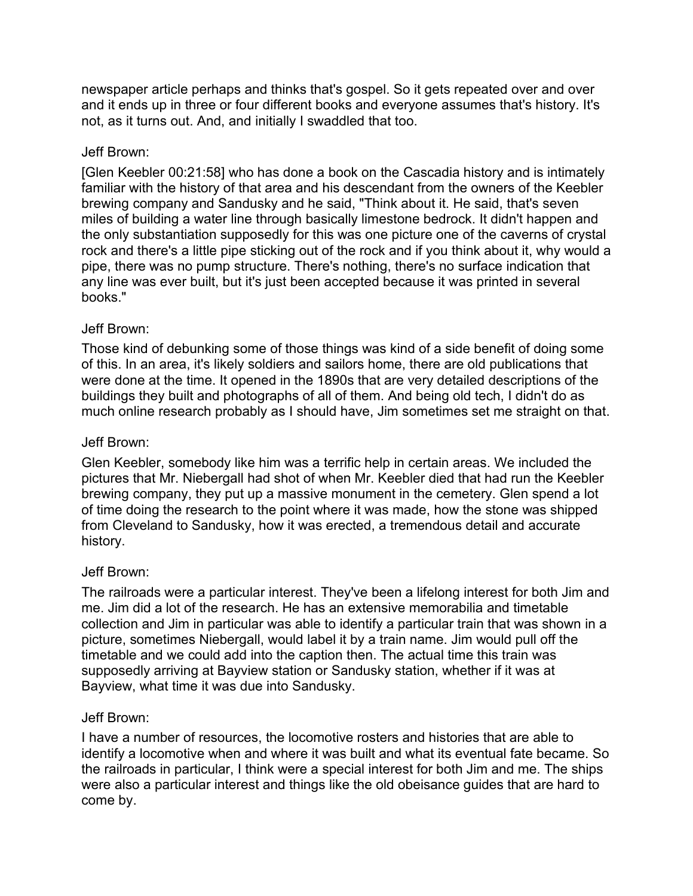newspaper article perhaps and thinks that's gospel. So it gets repeated over and over and it ends up in three or four different books and everyone assumes that's history. It's not, as it turns out. And, and initially I swaddled that too.

## Jeff Brown:

[Glen Keebler 00:21:58] who has done a book on the Cascadia history and is intimately familiar with the history of that area and his descendant from the owners of the Keebler brewing company and Sandusky and he said, "Think about it. He said, that's seven miles of building a water line through basically limestone bedrock. It didn't happen and the only substantiation supposedly for this was one picture one of the caverns of crystal rock and there's a little pipe sticking out of the rock and if you think about it, why would a pipe, there was no pump structure. There's nothing, there's no surface indication that any line was ever built, but it's just been accepted because it was printed in several books."

## Jeff Brown:

Those kind of debunking some of those things was kind of a side benefit of doing some of this. In an area, it's likely soldiers and sailors home, there are old publications that were done at the time. It opened in the 1890s that are very detailed descriptions of the buildings they built and photographs of all of them. And being old tech, I didn't do as much online research probably as I should have, Jim sometimes set me straight on that.

## Jeff Brown:

Glen Keebler, somebody like him was a terrific help in certain areas. We included the pictures that Mr. Niebergall had shot of when Mr. Keebler died that had run the Keebler brewing company, they put up a massive monument in the cemetery. Glen spend a lot of time doing the research to the point where it was made, how the stone was shipped from Cleveland to Sandusky, how it was erected, a tremendous detail and accurate history.

## Jeff Brown:

The railroads were a particular interest. They've been a lifelong interest for both Jim and me. Jim did a lot of the research. He has an extensive memorabilia and timetable collection and Jim in particular was able to identify a particular train that was shown in a picture, sometimes Niebergall, would label it by a train name. Jim would pull off the timetable and we could add into the caption then. The actual time this train was supposedly arriving at Bayview station or Sandusky station, whether if it was at Bayview, what time it was due into Sandusky.

## Jeff Brown:

I have a number of resources, the locomotive rosters and histories that are able to identify a locomotive when and where it was built and what its eventual fate became. So the railroads in particular, I think were a special interest for both Jim and me. The ships were also a particular interest and things like the old obeisance guides that are hard to come by.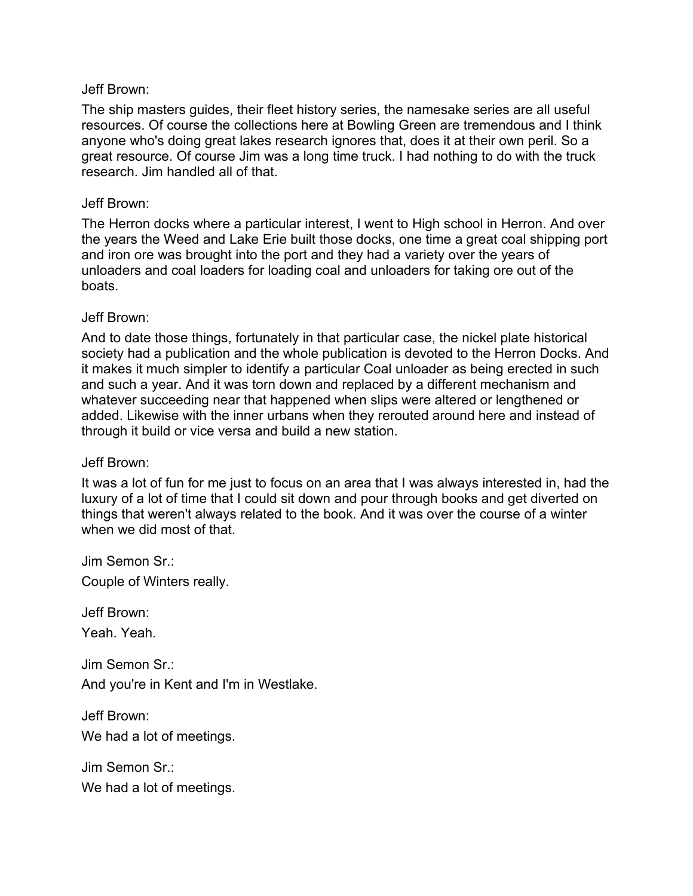### Jeff Brown:

The ship masters guides, their fleet history series, the namesake series are all useful resources. Of course the collections here at Bowling Green are tremendous and I think anyone who's doing great lakes research ignores that, does it at their own peril. So a great resource. Of course Jim was a long time truck. I had nothing to do with the truck research. Jim handled all of that.

#### Jeff Brown:

The Herron docks where a particular interest, I went to High school in Herron. And over the years the Weed and Lake Erie built those docks, one time a great coal shipping port and iron ore was brought into the port and they had a variety over the years of unloaders and coal loaders for loading coal and unloaders for taking ore out of the boats.

#### Jeff Brown:

And to date those things, fortunately in that particular case, the nickel plate historical society had a publication and the whole publication is devoted to the Herron Docks. And it makes it much simpler to identify a particular Coal unloader as being erected in such and such a year. And it was torn down and replaced by a different mechanism and whatever succeeding near that happened when slips were altered or lengthened or added. Likewise with the inner urbans when they rerouted around here and instead of through it build or vice versa and build a new station.

#### Jeff Brown:

It was a lot of fun for me just to focus on an area that I was always interested in, had the luxury of a lot of time that I could sit down and pour through books and get diverted on things that weren't always related to the book. And it was over the course of a winter when we did most of that.

Jim Semon Sr.:

Couple of Winters really.

Jeff Brown:

Yeah. Yeah.

Jim Semon Sr.: And you're in Kent and I'm in Westlake.

Jeff Brown: We had a lot of meetings.

Jim Semon Sr.: We had a lot of meetings.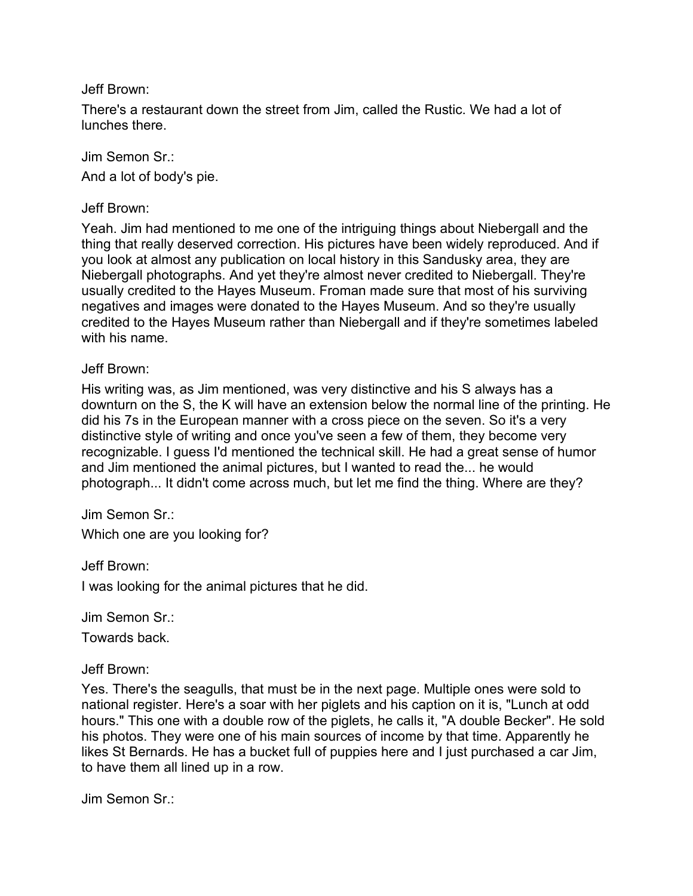Jeff Brown:

There's a restaurant down the street from Jim, called the Rustic. We had a lot of lunches there.

Jim Semon Sr.: And a lot of body's pie.

Jeff Brown:

Yeah. Jim had mentioned to me one of the intriguing things about Niebergall and the thing that really deserved correction. His pictures have been widely reproduced. And if you look at almost any publication on local history in this Sandusky area, they are Niebergall photographs. And yet they're almost never credited to Niebergall. They're usually credited to the Hayes Museum. Froman made sure that most of his surviving negatives and images were donated to the Hayes Museum. And so they're usually credited to the Hayes Museum rather than Niebergall and if they're sometimes labeled with his name.

#### Jeff Brown:

His writing was, as Jim mentioned, was very distinctive and his S always has a downturn on the S, the K will have an extension below the normal line of the printing. He did his 7s in the European manner with a cross piece on the seven. So it's a very distinctive style of writing and once you've seen a few of them, they become very recognizable. I guess I'd mentioned the technical skill. He had a great sense of humor and Jim mentioned the animal pictures, but I wanted to read the... he would photograph... It didn't come across much, but let me find the thing. Where are they?

Jim Semon Sr.:

Which one are you looking for?

Jeff Brown:

I was looking for the animal pictures that he did.

Jim Semon Sr.:

Towards back.

Jeff Brown:

Yes. There's the seagulls, that must be in the next page. Multiple ones were sold to national register. Here's a soar with her piglets and his caption on it is, "Lunch at odd hours." This one with a double row of the piglets, he calls it, "A double Becker". He sold his photos. They were one of his main sources of income by that time. Apparently he likes St Bernards. He has a bucket full of puppies here and I just purchased a car Jim, to have them all lined up in a row.

Jim Semon Sr.: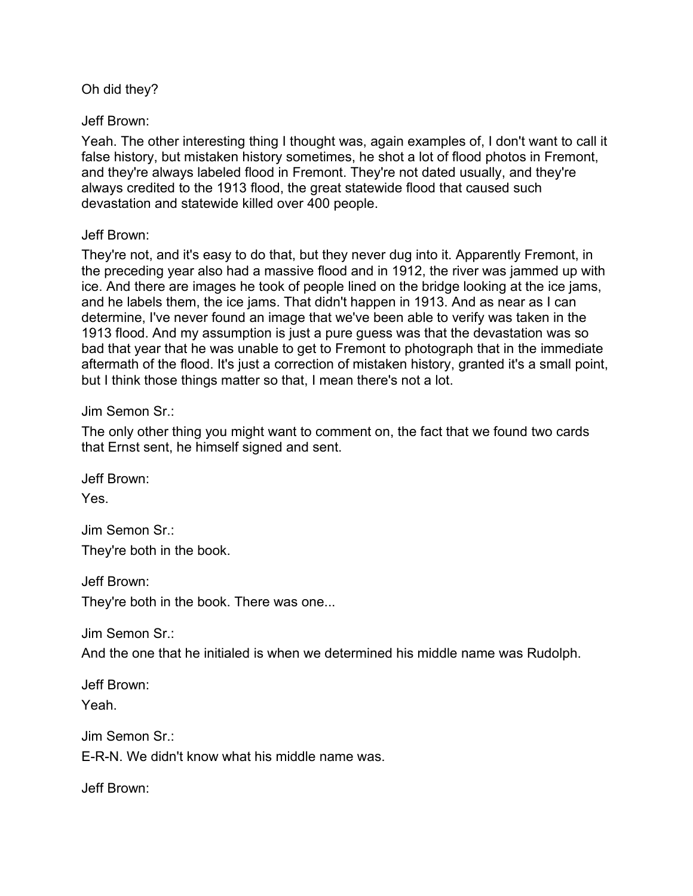Oh did they?

Jeff Brown:

Yeah. The other interesting thing I thought was, again examples of, I don't want to call it false history, but mistaken history sometimes, he shot a lot of flood photos in Fremont, and they're always labeled flood in Fremont. They're not dated usually, and they're always credited to the 1913 flood, the great statewide flood that caused such devastation and statewide killed over 400 people.

## Jeff Brown:

They're not, and it's easy to do that, but they never dug into it. Apparently Fremont, in the preceding year also had a massive flood and in 1912, the river was jammed up with ice. And there are images he took of people lined on the bridge looking at the ice jams, and he labels them, the ice jams. That didn't happen in 1913. And as near as I can determine, I've never found an image that we've been able to verify was taken in the 1913 flood. And my assumption is just a pure guess was that the devastation was so bad that year that he was unable to get to Fremont to photograph that in the immediate aftermath of the flood. It's just a correction of mistaken history, granted it's a small point, but I think those things matter so that, I mean there's not a lot.

Jim Semon Sr.:

The only other thing you might want to comment on, the fact that we found two cards that Ernst sent, he himself signed and sent.

Jeff Brown: Yes.

Jim Semon Sr.: They're both in the book.

Jeff Brown:

They're both in the book. There was one...

Jim Semon Sr.:

And the one that he initialed is when we determined his middle name was Rudolph.

Jeff Brown: Yeah.

Jim Semon Sr.: E-R-N. We didn't know what his middle name was.

Jeff Brown: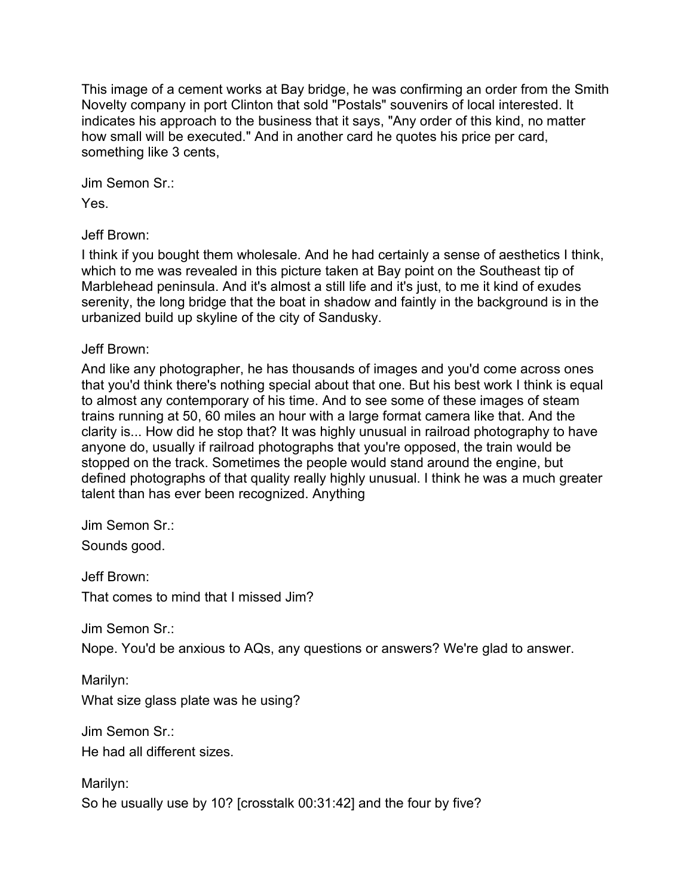This image of a cement works at Bay bridge, he was confirming an order from the Smith Novelty company in port Clinton that sold "Postals" souvenirs of local interested. It indicates his approach to the business that it says, "Any order of this kind, no matter how small will be executed." And in another card he quotes his price per card, something like 3 cents,

Jim Semon Sr.: Yes.

Jeff Brown:

I think if you bought them wholesale. And he had certainly a sense of aesthetics I think, which to me was revealed in this picture taken at Bay point on the Southeast tip of Marblehead peninsula. And it's almost a still life and it's just, to me it kind of exudes serenity, the long bridge that the boat in shadow and faintly in the background is in the urbanized build up skyline of the city of Sandusky.

Jeff Brown:

And like any photographer, he has thousands of images and you'd come across ones that you'd think there's nothing special about that one. But his best work I think is equal to almost any contemporary of his time. And to see some of these images of steam trains running at 50, 60 miles an hour with a large format camera like that. And the clarity is... How did he stop that? It was highly unusual in railroad photography to have anyone do, usually if railroad photographs that you're opposed, the train would be stopped on the track. Sometimes the people would stand around the engine, but defined photographs of that quality really highly unusual. I think he was a much greater talent than has ever been recognized. Anything

Jim Semon Sr.: Sounds good.

Jeff Brown: That comes to mind that I missed Jim?

Jim Semon Sr<sup>.</sup>

Nope. You'd be anxious to AQs, any questions or answers? We're glad to answer.

Marilyn: What size glass plate was he using?

Jim Semon Sr.:

He had all different sizes.

Marilyn: So he usually use by 10? [crosstalk 00:31:42] and the four by five?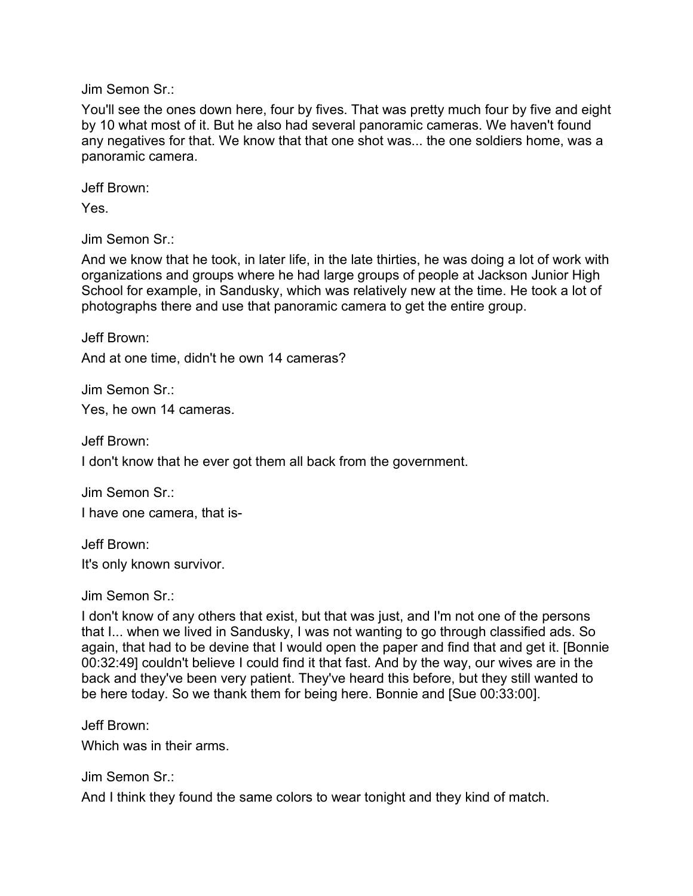Jim Semon Sr.:

You'll see the ones down here, four by fives. That was pretty much four by five and eight by 10 what most of it. But he also had several panoramic cameras. We haven't found any negatives for that. We know that that one shot was... the one soldiers home, was a panoramic camera.

Jeff Brown:

Yes.

Jim Semon Sr.:

And we know that he took, in later life, in the late thirties, he was doing a lot of work with organizations and groups where he had large groups of people at Jackson Junior High School for example, in Sandusky, which was relatively new at the time. He took a lot of photographs there and use that panoramic camera to get the entire group.

Jeff Brown:

And at one time, didn't he own 14 cameras?

Jim Semon Sr.: Yes, he own 14 cameras.

Jeff Brown:

I don't know that he ever got them all back from the government.

Jim Semon Sr.: I have one camera, that is-

Jeff Brown: It's only known survivor.

Jim Semon Sr.:

I don't know of any others that exist, but that was just, and I'm not one of the persons that I... when we lived in Sandusky, I was not wanting to go through classified ads. So again, that had to be devine that I would open the paper and find that and get it. [Bonnie 00:32:49] couldn't believe I could find it that fast. And by the way, our wives are in the back and they've been very patient. They've heard this before, but they still wanted to be here today. So we thank them for being here. Bonnie and [Sue 00:33:00].

Jeff Brown:

Which was in their arms.

Jim Semon Sr.:

And I think they found the same colors to wear tonight and they kind of match.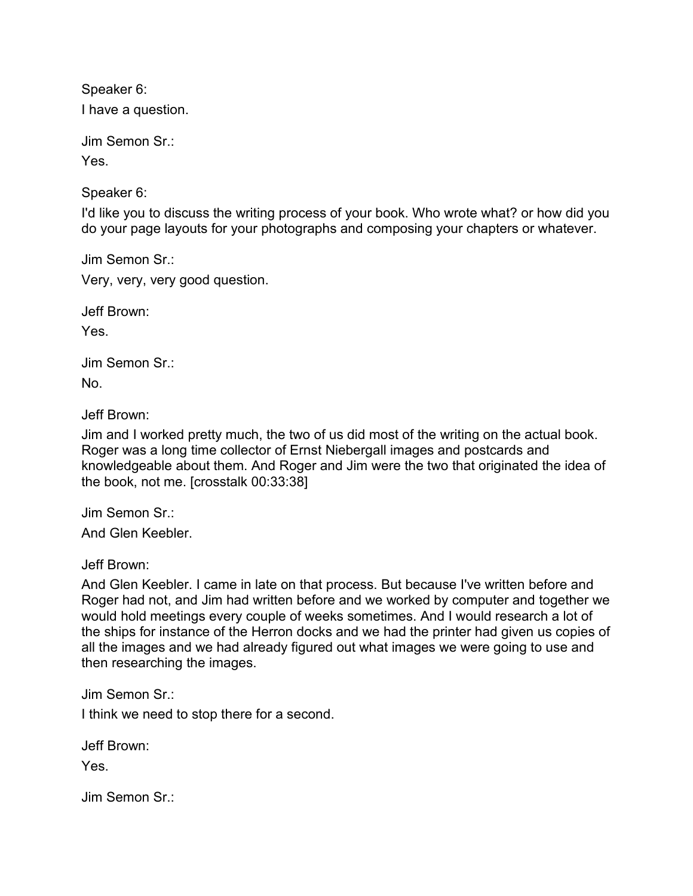Speaker 6: I have a question.

Jim Semon Sr.: Yes.

Speaker 6:

I'd like you to discuss the writing process of your book. Who wrote what? or how did you do your page layouts for your photographs and composing your chapters or whatever.

Jim Semon Sr.: Very, very, very good question.

Jeff Brown:

Yes.

Jim Semon Sr.: No.

Jeff Brown:

Jim and I worked pretty much, the two of us did most of the writing on the actual book. Roger was a long time collector of Ernst Niebergall images and postcards and knowledgeable about them. And Roger and Jim were the two that originated the idea of the book, not me. [crosstalk 00:33:38]

Jim Semon Sr.:

And Glen Keebler.

Jeff Brown:

And Glen Keebler. I came in late on that process. But because I've written before and Roger had not, and Jim had written before and we worked by computer and together we would hold meetings every couple of weeks sometimes. And I would research a lot of the ships for instance of the Herron docks and we had the printer had given us copies of all the images and we had already figured out what images we were going to use and then researching the images.

Jim Semon Sr.:

I think we need to stop there for a second.

Jeff Brown:

Yes.

Jim Semon Sr.: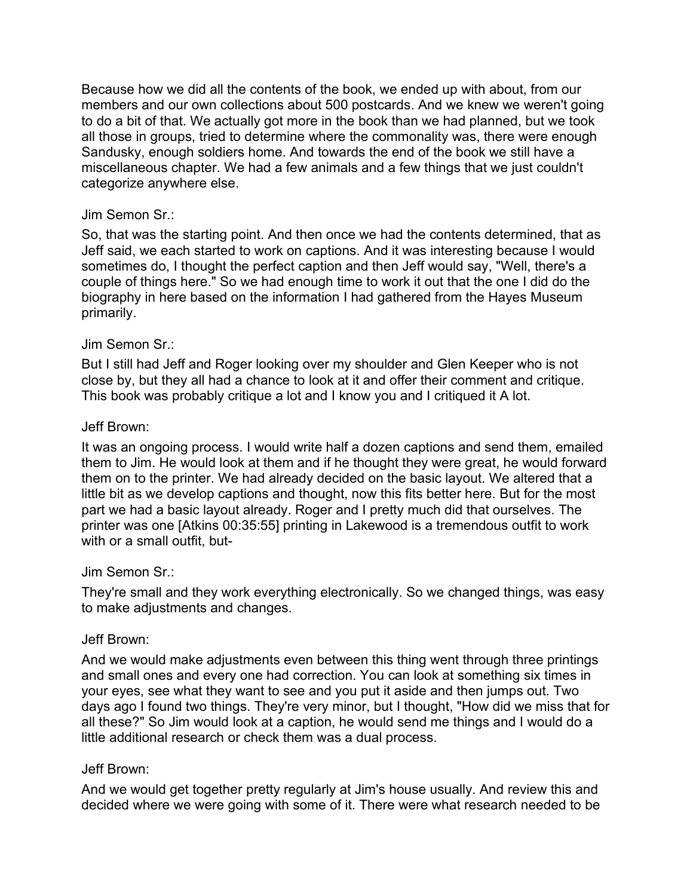Because how we did all the contents of the book, we ended up with about, from our members and our own collections about 500 postcards. And we knew we weren't going to do a bit of that. We actually got more in the book than we had planned, but we took all those in groups, tried to determine where the commonality was, there were enough Sandusky, enough soldiers home. And towards the end of the book we still have a miscellaneous chapter. We had a few animals and a few things that we just couldn't categorize anywhere else.

## Jim Semon Sr.:

So, that was the starting point. And then once we had the contents determined, that as Jeff said, we each started to work on captions. And it was interesting because I would sometimes do, I thought the perfect caption and then Jeff would say, "Well, there's a couple of things here." So we had enough time to work it out that the one I did do the biography in here based on the information I had gathered from the Hayes Museum primarily.

## Jim Semon Sr.:

But I still had Jeff and Roger looking over my shoulder and Glen Keeper who is not close by, but they all had a chance to look at it and offer their comment and critique. This book was probably critique a lot and I know you and I critiqued it A lot.

## Jeff Brown:

It was an ongoing process. I would write half a dozen captions and send them, emailed them to Jim. He would look at them and if he thought they were great, he would forward them on to the printer. We had already decided on the basic layout. We altered that a little bit as we develop captions and thought, now this fits better here. But for the most part we had a basic layout already. Roger and I pretty much did that ourselves. The printer was one [Atkins 00:35:55] printing in Lakewood is a tremendous outfit to work with or a small outfit, but-

## Jim Semon Sr.:

They're small and they work everything electronically. So we changed things, was easy to make adjustments and changes.

## Jeff Brown:

And we would make adjustments even between this thing went through three printings and small ones and every one had correction. You can look at something six times in your eyes, see what they want to see and you put it aside and then jumps out. Two days ago I found two things. They're very minor, but I thought, "How did we miss that for all these?" So Jim would look at a caption, he would send me things and I would do a little additional research or check them was a dual process.

## Jeff Brown:

And we would get together pretty regularly at Jim's house usually. And review this and decided where we were going with some of it. There were what research needed to be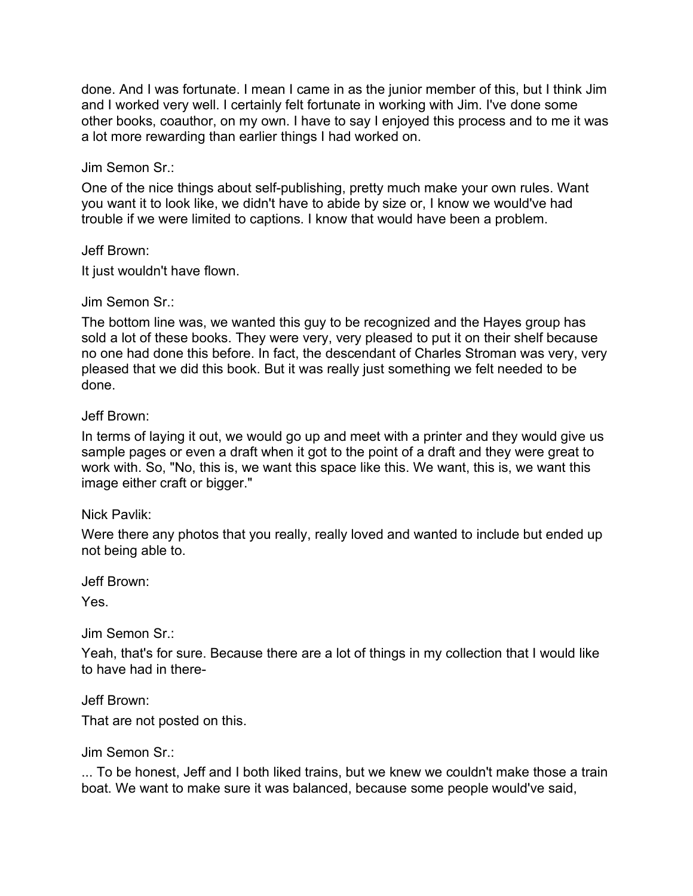done. And I was fortunate. I mean I came in as the junior member of this, but I think Jim and I worked very well. I certainly felt fortunate in working with Jim. I've done some other books, coauthor, on my own. I have to say I enjoyed this process and to me it was a lot more rewarding than earlier things I had worked on.

## Jim Semon Sr.:

One of the nice things about self-publishing, pretty much make your own rules. Want you want it to look like, we didn't have to abide by size or, I know we would've had trouble if we were limited to captions. I know that would have been a problem.

## Jeff Brown:

It just wouldn't have flown.

## Jim Semon Sr.:

The bottom line was, we wanted this guy to be recognized and the Hayes group has sold a lot of these books. They were very, very pleased to put it on their shelf because no one had done this before. In fact, the descendant of Charles Stroman was very, very pleased that we did this book. But it was really just something we felt needed to be done.

## Jeff Brown:

In terms of laying it out, we would go up and meet with a printer and they would give us sample pages or even a draft when it got to the point of a draft and they were great to work with. So, "No, this is, we want this space like this. We want, this is, we want this image either craft or bigger."

## Nick Pavlik:

Were there any photos that you really, really loved and wanted to include but ended up not being able to.

Jeff Brown:

Yes.

Jim Semon Sr.:

Yeah, that's for sure. Because there are a lot of things in my collection that I would like to have had in there-

Jeff Brown:

That are not posted on this.

Jim Semon Sr.:

... To be honest, Jeff and I both liked trains, but we knew we couldn't make those a train boat. We want to make sure it was balanced, because some people would've said,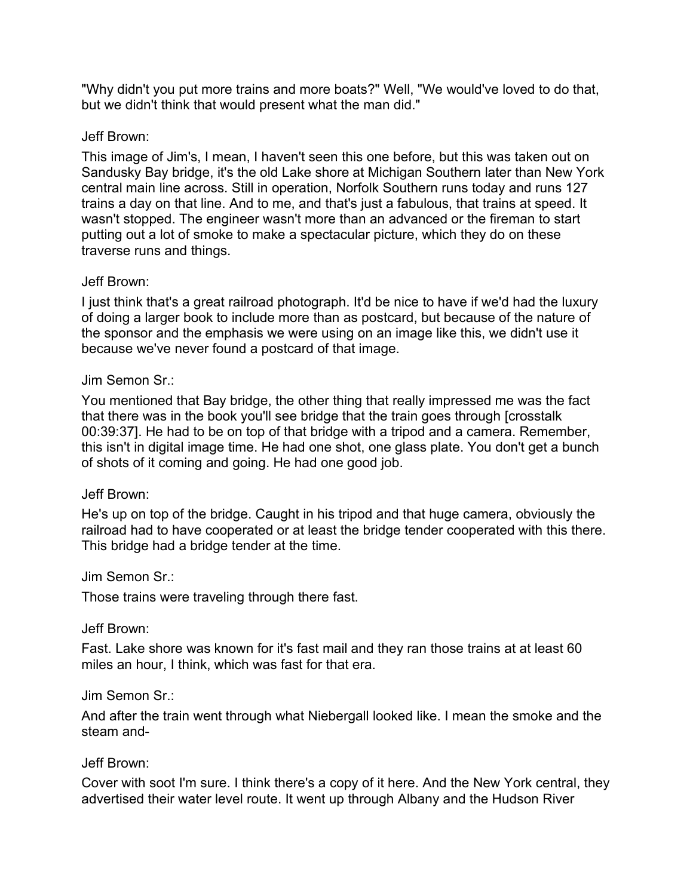"Why didn't you put more trains and more boats?" Well, "We would've loved to do that, but we didn't think that would present what the man did."

# Jeff Brown:

This image of Jim's, I mean, I haven't seen this one before, but this was taken out on Sandusky Bay bridge, it's the old Lake shore at Michigan Southern later than New York central main line across. Still in operation, Norfolk Southern runs today and runs 127 trains a day on that line. And to me, and that's just a fabulous, that trains at speed. It wasn't stopped. The engineer wasn't more than an advanced or the fireman to start putting out a lot of smoke to make a spectacular picture, which they do on these traverse runs and things.

# Jeff Brown:

I just think that's a great railroad photograph. It'd be nice to have if we'd had the luxury of doing a larger book to include more than as postcard, but because of the nature of the sponsor and the emphasis we were using on an image like this, we didn't use it because we've never found a postcard of that image.

## Jim Semon Sr.:

You mentioned that Bay bridge, the other thing that really impressed me was the fact that there was in the book you'll see bridge that the train goes through [crosstalk 00:39:37]. He had to be on top of that bridge with a tripod and a camera. Remember, this isn't in digital image time. He had one shot, one glass plate. You don't get a bunch of shots of it coming and going. He had one good job.

## Jeff Brown:

He's up on top of the bridge. Caught in his tripod and that huge camera, obviously the railroad had to have cooperated or at least the bridge tender cooperated with this there. This bridge had a bridge tender at the time.

# Jim Semon Sr.:

Those trains were traveling through there fast.

# Jeff Brown:

Fast. Lake shore was known for it's fast mail and they ran those trains at at least 60 miles an hour, I think, which was fast for that era.

## Jim Semon Sr.:

And after the train went through what Niebergall looked like. I mean the smoke and the steam and-

# Jeff Brown:

Cover with soot I'm sure. I think there's a copy of it here. And the New York central, they advertised their water level route. It went up through Albany and the Hudson River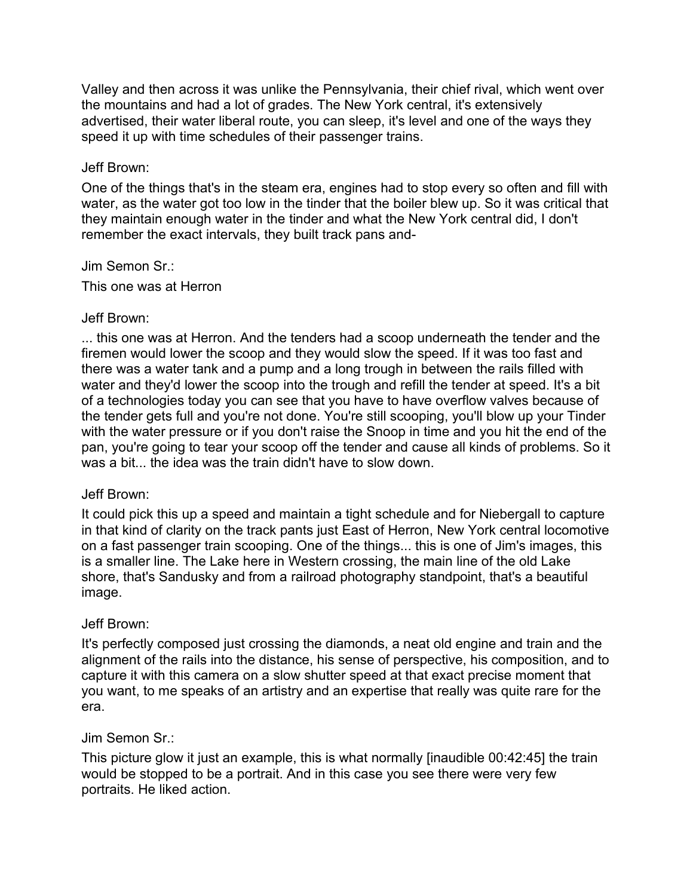Valley and then across it was unlike the Pennsylvania, their chief rival, which went over the mountains and had a lot of grades. The New York central, it's extensively advertised, their water liberal route, you can sleep, it's level and one of the ways they speed it up with time schedules of their passenger trains.

### Jeff Brown:

One of the things that's in the steam era, engines had to stop every so often and fill with water, as the water got too low in the tinder that the boiler blew up. So it was critical that they maintain enough water in the tinder and what the New York central did, I don't remember the exact intervals, they built track pans and-

Jim Semon Sr.:

This one was at Herron

#### Jeff Brown:

... this one was at Herron. And the tenders had a scoop underneath the tender and the firemen would lower the scoop and they would slow the speed. If it was too fast and there was a water tank and a pump and a long trough in between the rails filled with water and they'd lower the scoop into the trough and refill the tender at speed. It's a bit of a technologies today you can see that you have to have overflow valves because of the tender gets full and you're not done. You're still scooping, you'll blow up your Tinder with the water pressure or if you don't raise the Snoop in time and you hit the end of the pan, you're going to tear your scoop off the tender and cause all kinds of problems. So it was a bit... the idea was the train didn't have to slow down.

## Jeff Brown:

It could pick this up a speed and maintain a tight schedule and for Niebergall to capture in that kind of clarity on the track pants just East of Herron, New York central locomotive on a fast passenger train scooping. One of the things... this is one of Jim's images, this is a smaller line. The Lake here in Western crossing, the main line of the old Lake shore, that's Sandusky and from a railroad photography standpoint, that's a beautiful image.

## Jeff Brown:

It's perfectly composed just crossing the diamonds, a neat old engine and train and the alignment of the rails into the distance, his sense of perspective, his composition, and to capture it with this camera on a slow shutter speed at that exact precise moment that you want, to me speaks of an artistry and an expertise that really was quite rare for the era.

## Jim Semon Sr.:

This picture glow it just an example, this is what normally [inaudible 00:42:45] the train would be stopped to be a portrait. And in this case you see there were very few portraits. He liked action.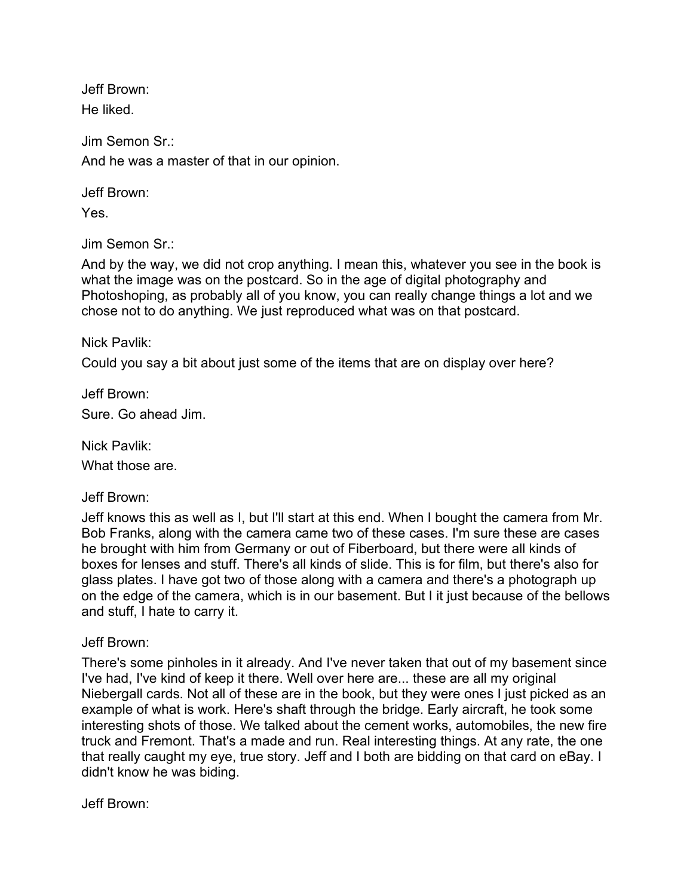Jeff Brown: He liked.

Jim Semon Sr.: And he was a master of that in our opinion.

Jeff Brown:

Yes.

Jim Semon Sr.:

And by the way, we did not crop anything. I mean this, whatever you see in the book is what the image was on the postcard. So in the age of digital photography and Photoshoping, as probably all of you know, you can really change things a lot and we chose not to do anything. We just reproduced what was on that postcard.

Nick Pavlik:

Could you say a bit about just some of the items that are on display over here?

Jeff Brown: Sure. Go ahead Jim.

Nick Pavlik:

What those are.

Jeff Brown:

Jeff knows this as well as I, but I'll start at this end. When I bought the camera from Mr. Bob Franks, along with the camera came two of these cases. I'm sure these are cases he brought with him from Germany or out of Fiberboard, but there were all kinds of boxes for lenses and stuff. There's all kinds of slide. This is for film, but there's also for glass plates. I have got two of those along with a camera and there's a photograph up on the edge of the camera, which is in our basement. But I it just because of the bellows and stuff, I hate to carry it.

Jeff Brown:

There's some pinholes in it already. And I've never taken that out of my basement since I've had, I've kind of keep it there. Well over here are... these are all my original Niebergall cards. Not all of these are in the book, but they were ones I just picked as an example of what is work. Here's shaft through the bridge. Early aircraft, he took some interesting shots of those. We talked about the cement works, automobiles, the new fire truck and Fremont. That's a made and run. Real interesting things. At any rate, the one that really caught my eye, true story. Jeff and I both are bidding on that card on eBay. I didn't know he was biding.

Jeff Brown: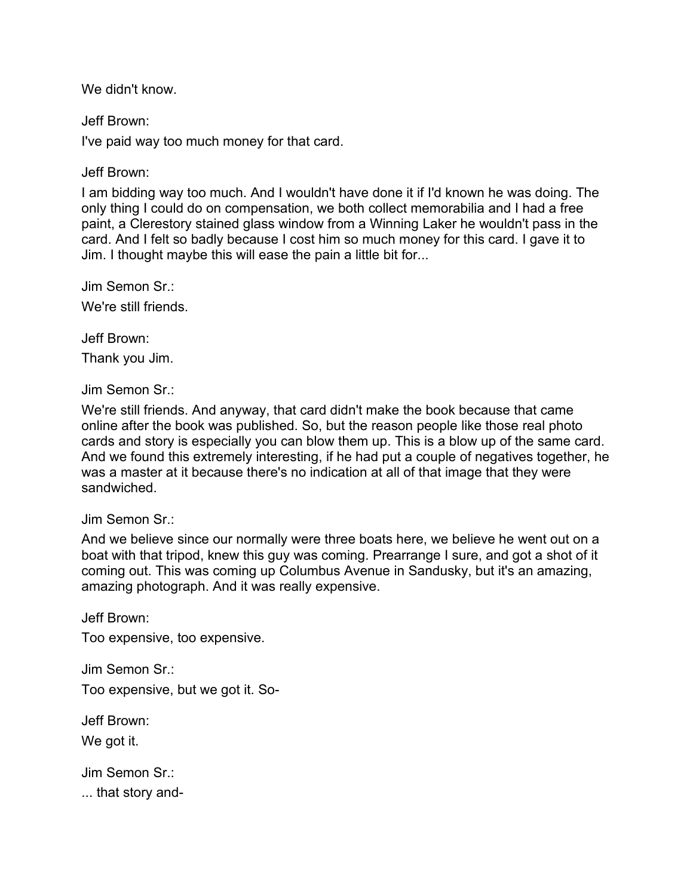We didn't know.

Jeff Brown:

I've paid way too much money for that card.

Jeff Brown:

I am bidding way too much. And I wouldn't have done it if I'd known he was doing. The only thing I could do on compensation, we both collect memorabilia and I had a free paint, a Clerestory stained glass window from a Winning Laker he wouldn't pass in the card. And I felt so badly because I cost him so much money for this card. I gave it to Jim. I thought maybe this will ease the pain a little bit for...

Jim Semon Sr.:

We're still friends.

Jeff Brown:

Thank you Jim.

Jim Semon Sr.:

We're still friends. And anyway, that card didn't make the book because that came online after the book was published. So, but the reason people like those real photo cards and story is especially you can blow them up. This is a blow up of the same card. And we found this extremely interesting, if he had put a couple of negatives together, he was a master at it because there's no indication at all of that image that they were sandwiched.

Jim Semon Sr.:

And we believe since our normally were three boats here, we believe he went out on a boat with that tripod, knew this guy was coming. Prearrange I sure, and got a shot of it coming out. This was coming up Columbus Avenue in Sandusky, but it's an amazing, amazing photograph. And it was really expensive.

Jeff Brown:

Too expensive, too expensive.

Jim Semon Sr.: Too expensive, but we got it. So-

Jeff Brown:

We got it.

Jim Semon Sr.:

... that story and-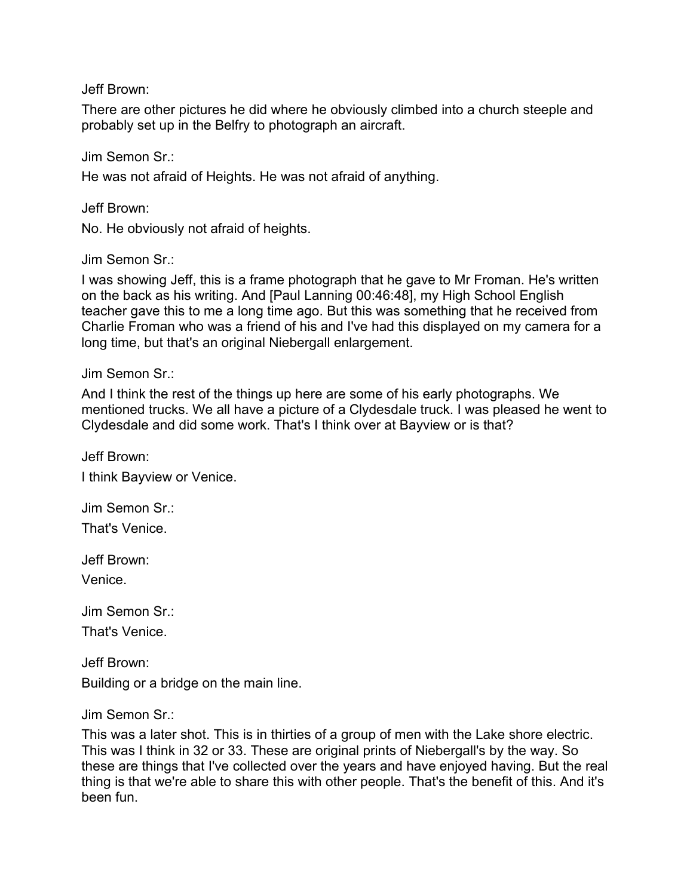Jeff Brown:

There are other pictures he did where he obviously climbed into a church steeple and probably set up in the Belfry to photograph an aircraft.

Jim Semon Sr.:

He was not afraid of Heights. He was not afraid of anything.

Jeff Brown:

No. He obviously not afraid of heights.

Jim Semon Sr.:

I was showing Jeff, this is a frame photograph that he gave to Mr Froman. He's written on the back as his writing. And [Paul Lanning 00:46:48], my High School English teacher gave this to me a long time ago. But this was something that he received from Charlie Froman who was a friend of his and I've had this displayed on my camera for a long time, but that's an original Niebergall enlargement.

Jim Semon Sr.:

And I think the rest of the things up here are some of his early photographs. We mentioned trucks. We all have a picture of a Clydesdale truck. I was pleased he went to Clydesdale and did some work. That's I think over at Bayview or is that?

Jeff Brown: I think Bayview or Venice.

Jim Semon Sr.: That's Venice.

Jeff Brown:

Venice.

Jim Semon Sr.: That's Venice.

Jeff Brown: Building or a bridge on the main line.

Jim Semon Sr.:

This was a later shot. This is in thirties of a group of men with the Lake shore electric. This was I think in 32 or 33. These are original prints of Niebergall's by the way. So these are things that I've collected over the years and have enjoyed having. But the real thing is that we're able to share this with other people. That's the benefit of this. And it's been fun.